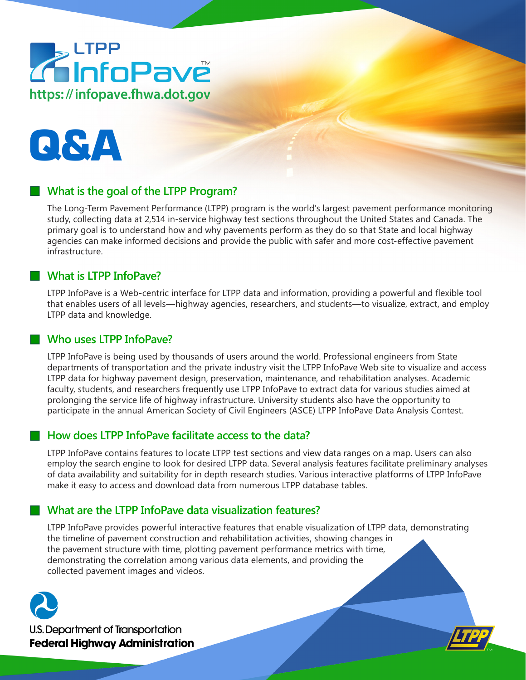# Z LTPP<br>Z InfoPave https://infopave.fhwa.dot.gov



# **What is the goal of the LTPP Program?**

The Long-Term Pavement Performance (LTPP) program is the world's largest pavement performance monitoring study, collecting data at 2,514 in-service highway test sections throughout the United States and Canada. The primary goal is to understand how and why pavements perform as they do so that State and local highway agencies can make informed decisions and provide the public with safer and more cost-effective pavement infrastructure.

#### **What is LTPP InfoPave?**

LTPP InfoPave is a Web-centric interface for LTPP data and information, providing a powerful and flexible tool that enables users of all levels—highway agencies, researchers, and students—to visualize, extract, and employ LTPP data and knowledge.

#### **Who uses LTPP InfoPave?**

LTPP InfoPave is being used by thousands of users around the world. Professional engineers from State departments of transportation and the private industry visit the LTPP InfoPave Web site to visualize and access LTPP data for highway pavement design, preservation, maintenance, and rehabilitation analyses. Academic faculty, students, and researchers frequently use LTPP InfoPave to extract data for various studies aimed at prolonging the service life of highway infrastructure. University students also have the opportunity to participate in the annual American Society of Civil Engineers (ASCE) LTPP InfoPave Data Analysis Contest.

#### **How does LTPP InfoPave facilitate access to the data?**

LTPP InfoPave contains features to locate LTPP test sections and view data ranges on a map. Users can also employ the search engine to look for desired LTPP data. Several analysis features facilitate preliminary analyses of data availability and suitability for in depth research studies. Various interactive platforms of LTPP InfoPave make it easy to access and download data from numerous LTPP database tables.

#### **What are the LTPP InfoPave data visualization features?**

LTPP InfoPave provides powerful interactive features that enable visualization of LTPP data, demonstrating the timeline of pavement construction and rehabilitation activities, showing changes in the pavement structure with time, plotting pavement performance metrics with time, demonstrating the correlation among various data elements, and providing the collected pavement images and videos.



**U.S. Department of Transportation Federal Highway Administration**